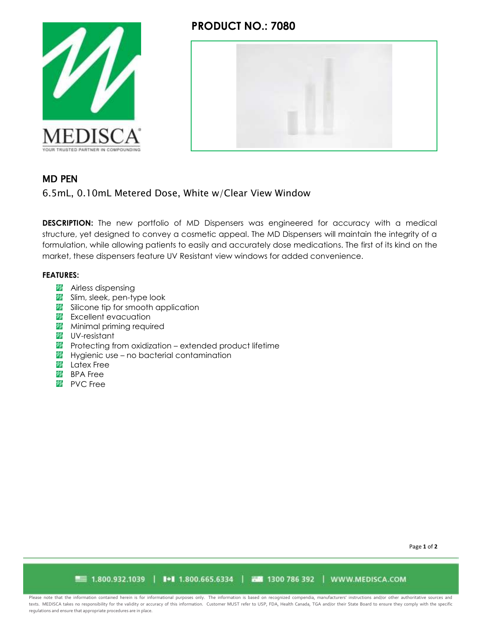

## **PRODUCT NO.: 7080**



## MD PEN

6.5mL, 0.10mL Metered Dose, White w/Clear View Window

**DESCRIPTION:** The new portfolio of MD Dispensers was engineered for accuracy with a medical structure, yet designed to convey a cosmetic appeal. The MD Dispensers will maintain the integrity of a formulation, while allowing patients to easily and accurately dose medications. The first of its kind on the market, these dispensers feature UV Resistant view windows for added convenience.

#### **FEATURES:**

- *A* Airless dispensing
- Slim, sleek, pen-type look
- Silicone tip for smooth application
- **Excellent evacuation**
- **Minimal priming required**
- UV-resistant
- **Protecting from oxidization extended product lifetime**
- **Hygienic use no bacterial contamination**
- *M* Latex Free
- **BPA** Free
- *M* PVC Free

Page **1** of **2**

■■ 1.800.932.1039 | ■ 1.800.665.6334 | 西蘭 1300 786 392 | WWW.MEDISCA.COM

Please note that the information contained herein is for informational purposes only. The information is based on recognized compendia, manufacturers' instructions and/or other authoritative sources and texts. MEDISCA takes no responsibility for the validity or accuracy of this information. Customer MUST refer to USP, FDA, Health Canada, TGA and/or their State Board to ensure they comply with the specific regulations and ensure that appropriate procedures are in place.